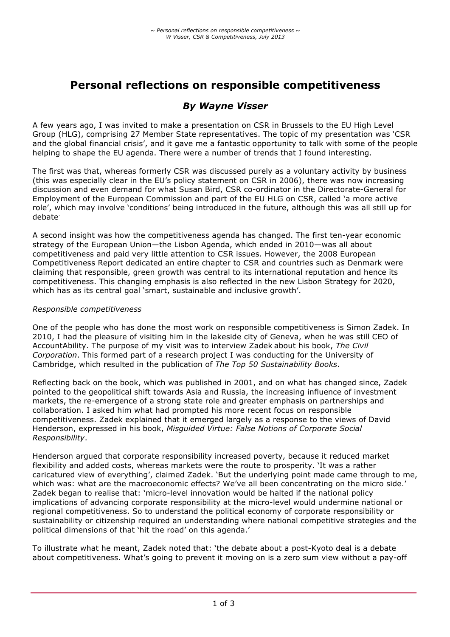# **Personal reflections on responsible competitiveness**

## *By Wayne Visser*

A few years ago, I was invited to make a presentation on CSR in Brussels to the EU High Level Group (HLG), comprising 27 Member State representatives. The topic of my presentation was 'CSR and the global financial crisis', and it gave me a fantastic opportunity to talk with some of the people helping to shape the EU agenda. There were a number of trends that I found interesting.

The first was that, whereas formerly CSR was discussed purely as a voluntary activity by business (this was especially clear in the EU's policy statement on CSR in 2006), there was now increasing discussion and even demand for what Susan Bird, CSR co-ordinator in the Directorate-General for Employment of the European Commission and part of the EU HLG on CSR, called 'a more active role', which may involve 'conditions' being introduced in the future, although this was all still up for debate.

A second insight was how the competitiveness agenda has changed. The first ten-year economic strategy of the European Union—the Lisbon Agenda, which ended in 2010—was all about competitiveness and paid very little attention to CSR issues. However, the 2008 European Competitiveness Report dedicated an entire chapter to CSR and countries such as Denmark were claiming that responsible, green growth was central to its international reputation and hence its competitiveness. This changing emphasis is also reflected in the new Lisbon Strategy for 2020, which has as its central goal 'smart, sustainable and inclusive growth'.

#### *Responsible competitiveness*

One of the people who has done the most work on responsible competitiveness is Simon Zadek. In 2010, I had the pleasure of visiting him in the lakeside city of Geneva, when he was still CEO of AccountAbility. The purpose of my visit was to interview Zadek about his book, *The Civil Corporation*. This formed part of a research project I was conducting for the University of Cambridge, which resulted in the publication of *The Top 50 Sustainability Books*.

Reflecting back on the book, which was published in 2001, and on what has changed since, Zadek pointed to the geopolitical shift towards Asia and Russia, the increasing influence of investment markets, the re-emergence of a strong state role and greater emphasis on partnerships and collaboration. I asked him what had prompted his more recent focus on responsible competitiveness. Zadek explained that it emerged largely as a response to the views of David Henderson, expressed in his book, *Misguided Virtue: False Notions of Corporate Social Responsibility*.

Henderson argued that corporate responsibility increased poverty, because it reduced market flexibility and added costs, whereas markets were the route to prosperity. 'It was a rather caricatured view of everything', claimed Zadek. 'But the underlying point made came through to me, which was: what are the macroeconomic effects? We've all been concentrating on the micro side.' Zadek began to realise that: 'micro-level innovation would be halted if the national policy implications of advancing corporate responsibility at the micro-level would undermine national or regional competitiveness. So to understand the political economy of corporate responsibility or sustainability or citizenship required an understanding where national competitive strategies and the political dimensions of that 'hit the road' on this agenda.'

To illustrate what he meant, Zadek noted that: 'the debate about a post-Kyoto deal is a debate about competitiveness. What's going to prevent it moving on is a zero sum view without a pay-off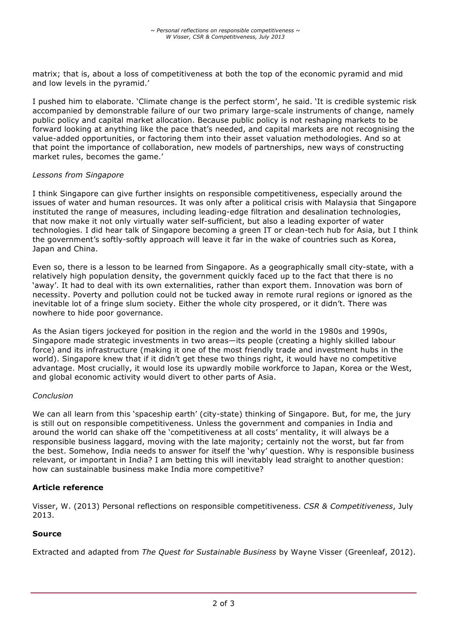matrix; that is, about a loss of competitiveness at both the top of the economic pyramid and mid and low levels in the pyramid.'

I pushed him to elaborate. 'Climate change is the perfect storm', he said. 'It is credible systemic risk accompanied by demonstrable failure of our two primary large-scale instruments of change, namely public policy and capital market allocation. Because public policy is not reshaping markets to be forward looking at anything like the pace that's needed, and capital markets are not recognising the value-added opportunities, or factoring them into their asset valuation methodologies. And so at that point the importance of collaboration, new models of partnerships, new ways of constructing market rules, becomes the game.'

#### *Lessons from Singapore*

I think Singapore can give further insights on responsible competitiveness, especially around the issues of water and human resources. It was only after a political crisis with Malaysia that Singapore instituted the range of measures, including leading-edge filtration and desalination technologies, that now make it not only virtually water self-sufficient, but also a leading exporter of water technologies. I did hear talk of Singapore becoming a green IT or clean-tech hub for Asia, but I think the government's softly-softly approach will leave it far in the wake of countries such as Korea, Japan and China.

Even so, there is a lesson to be learned from Singapore. As a geographically small city-state, with a relatively high population density, the government quickly faced up to the fact that there is no 'away'. It had to deal with its own externalities, rather than export them. Innovation was born of necessity. Poverty and pollution could not be tucked away in remote rural regions or ignored as the inevitable lot of a fringe slum society. Either the whole city prospered, or it didn't. There was nowhere to hide poor governance.

As the Asian tigers jockeyed for position in the region and the world in the 1980s and 1990s, Singapore made strategic investments in two areas—its people (creating a highly skilled labour force) and its infrastructure (making it one of the most friendly trade and investment hubs in the world). Singapore knew that if it didn't get these two things right, it would have no competitive advantage. Most crucially, it would lose its upwardly mobile workforce to Japan, Korea or the West, and global economic activity would divert to other parts of Asia.

#### *Conclusion*

We can all learn from this 'spaceship earth' (city-state) thinking of Singapore. But, for me, the jury is still out on responsible competitiveness. Unless the government and companies in India and around the world can shake off the 'competitiveness at all costs' mentality, it will always be a responsible business laggard, moving with the late majority; certainly not the worst, but far from the best. Somehow, India needs to answer for itself the 'why' question. Why is responsible business relevant, or important in India? I am betting this will inevitably lead straight to another question: how can sustainable business make India more competitive?

#### **Article reference**

Visser, W. (2013) Personal reflections on responsible competitiveness. *CSR & Competitiveness*, July 2013.

#### **Source**

Extracted and adapted from *The Quest for Sustainable Business* by Wayne Visser (Greenleaf, 2012).